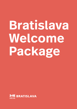# **Bratislava Welcome Package**

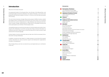3 Bratislava Welcome Package Bratislava Welcome Package

### **Introduction**

| <b>Municipality of Bratislava</b>        |
|------------------------------------------|
| List of Bratislava city boroughs         |
| Rights and Duties towards the City       |
| <b>Applying for Residence Permits</b>    |
| <b>Types of Residence Permits</b>        |
| How to Apply                             |
| <b>Finances</b>                          |
| <b>Banks in Slovakia</b>                 |
| <b>Healthcare and medical services</b>   |
| Health insurance                         |
| Health care                              |
| <b>Education</b>                         |
| Pre-school education                     |
| Primary education                        |
| Secondary education                      |
| Elementary Schools of Art and Centers o  |
| Universities and Colleges                |
| Slovak Language Acquisition Institutions |
| Recognition of Foreign Diplomas          |
| <b>Employment</b>                        |
| Work regulations                         |
| Job-seeking                              |
| Starting a business                      |
| <b>Transportation</b>                    |
| <b>Public Transportation</b>             |
| Parking Policy in Bratislava             |
| <b>Family Life</b>                       |
| Getting married                          |
| Getting divorced                         |
| Child birth as a foreigner               |
| <b>Social Affairs</b>                    |
| Social insurance                         |
| State social support                     |
| Social aid                               |
| Social Assistance in Bratislava          |
| <b>Housing</b>                           |
| <b>Culture</b>                           |
| <b>Useful Contacts</b>                   |
|                                          |

s of Leisure

Welcome to the heart of Europe!

Occupying both banks of the Danube River, the left bank of the Morava River, and bordering Hungary and Austria, Bratislava, the capital of Slovakia, is one of the most geographically important capitals in Europe. It is home to more than 650,000 people and counting.

The city's history has been strongly influenced by people of different nations, beliefs and religions and is considered the most diverse city in the country. It is no surprise that since the country's independence in 1993, Bratislava has witnessed and emb raced constant change characterized by a rapid entry to the global economy and active participation as a member of the European Union.

This guidebook gives you practical information for the first weeks and months of set tling into life in Bratislava. You will find, among other things, practical information on residences and work-related issues, schools and day-care, as well as where to get started with the Slovak language.

Contact details of various authorities help you take care of all the necessary forma lities when moving to Bratislava.

In addition, should you have ideas for a viable business, you will also find relevant contact information for various business support and development organizations included in this guidebook.

We are happy that you are here, we welcome you and appreciate your contribution to this city.

# **Introduction**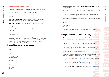5

**of Bratislava**

With 650 000 inhabitants, Bratislava is the most populous municipality in Slovakia. The City of Bratislava has its own representative bodies - the mayor and ity parliament, as well as advisory bodies: councils and committees.

The municipality office consists of different departments dealing with various life situations:

**Department of Social Affairs** - establishes centers of social services, includes section for long-term care services and section of crisis intervention

**Department of Education** - establishes kindergartens and elementary schools

**Building Department** - issues planning, zoning and construction permits

**Department of Culture** - establishes cultural institutions in the city and authorizes civic assemblies

For more information on the municipalities, its responsibilities and activities, please check: www.bratislava.sk

For more information on the Bratislava Self-Governing Region, please visit: **M** [www.bratislavskykraj.sk](http://www.bratislavskykraj.sk)

# **Rights and Duties towards the City**

Anyone who holds temporary or permanent residence including foreigners on the territory of the city has the right to participate in the municipality.

The city of Bratislava is divided into 17 self-governing administrative districts with their own local authorities. Depending on your residency, you belong to a particular local authority where you can resolve many important issues related to your life in Bratislava. Each of these city boroughs has their registry office that issues birth cer tificates, accepts applications for marriages, etc.

# **List of Bratislava city boroughs**

You can participate in municipality meetings; address your suggestions or petitions to the mayor, the city parliament and advisory bodies of the municipality.

**Mathematical Science Science Science Science Science Science Science Science Science Science Science Science Science Science Science Science Science Science Science Science Science Science Science Science Science Science** Only the residents of the region city (person with permanent residence) have voting rights.Foreigners with permanent residence have the right to vote and to be elected in the city/regional parliament , as mayor/governor and also vote in local/regional referendums. On the other hand, every inhabitant has duties towards the city, such as the duty to help maintain order in the municipality.

Residents are obliged to pay local taxes levied and collected by the city; rates are regulated in accordance with local conditions. Local taxes are:<br>• real estate tax  $\overline{P_1^2}$  www.bratislava.sk/sk/dan-z-nehnutelnosti governed by the

Staré Mesto Lamač Ružinov Devín Vrakuňa Devínska Nová Ves Podunajské Biskupice Záhorská Bystrica Nové Mesto Petržalka Rača Jarovce Vajnory Rusovce Karlova Ves Čunovo Dúbravka

Bratislava is also the capital of the **Bratislava Self-Governing Region** (Bratislavský samosprávny kraj).

The region establishes secondary schools, language schools and centers of leisure activities.

In the field of healthcare, the region issues licenses to provide medical care and controls the healthcare facilities.

The region also registers providers of social care and also establishes some provid ers of social care.

### Address:

Office of Bratislava Self-Governing Region Sabinovská 16 820 05 Bratislava

- [city](https://bratislava.sk/sk/dan-z-nehnutelnosti)
- tax for the use of public areas,  $\nabla^7$  www.[bratislava.sk/sk/dan-za-uzivanie-vere](https://bratislava.sk/sk/dan-za-uzivanie-verejneho-priestranstva)[jneho-priestranstva](https://bratislava.sk/sk/dan-za-uzivanie-verejneho-priestranstva) governed by the city and city borough
- accommodation tax  $\overline{Y_1}$  www.[bratislava.sk/sk/dan-za-ubytovanie](https://bratislava.sk/sk/dan-za-ubytovanie) governed by the City
- local fee for municipal waste and minor construction waste  $\overline{Y_1^N}$  www.bratislaby the City
- dog tax, governed by the city borough

[va.sk/sk/poplatky-za-komunalne-odpady-a-drobne-stavebne-odpady](https://bratislava.sk/sk/poplatky-za-komunalne-odpady-a-drobne-stavebne-odpady) governed

# **Municipality of Bratislava**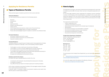Bratislava Welcome Package

Bratislava Welcome Package

6

7

# **Applying for Residence Permits Apply How to Apply**

# **Types of Residence Permits**

There are three types of residence permits for third country nationals:

### Temporary Residence

You may request temporary residence for the following reasons:

- Business
- **Employment**
- **Study**
- Special activities
- Research and development
- Family reunion
- Performing professional duties by civilian units of the armed forces<br>• Person with acknowledged status of a Slovak Living Abroad
- 
- Person with acknowledged long-term residence in another Union Member State

### Permanent Residence

- 
- permanent residence permit for 5 years<br>• permanent residence permit for an unlimited period<br>• long-term residence permit
- 

### Tolerated Residence

- is employed/ self-employed/ will potentially find employment in Slovakia;<br>• is studying in Slovakia: or
- 
- has sufficient financial means for himself as well as for his family members.

Tolerated residence is a specific type of residence which may be granted to a foreign national for a maximum of 180 days, if one of the following conditions applies:

- The foreigner is a minor child found in the territory of Slovakia;
- The foreigner is a victim of human trafficking and is at least 18 years old;
- 
- If it is required due to respect for his/her personal and family life;<br>• The foreigner was illegally employed under particularly exploitative working conditions or to an illegally employed minor person;
- It results from international commitments of the SR.

### Residence permit for EU citizens

EU citizens can stay in Slovakia beyond 3 months if he/ she:

■ [www.portal.minv.sk/wps/wcm/connect/en/site/main/Individuals+-life-situa](https://portal.minv.sk/wps/wcm/connect/en/site/main/Individuals+-life-situations/Foreigners/Booking-system/) [tions/Foreigners/Booking-system/](https://portal.minv.sk/wps/wcm/connect/en/site/main/Individuals+-life-situations/Foreigners/Booking-system/)

For more info, please check the website of the Ministry of Interior:  $\overline{17}$  [www.minv.sk/?agenda-of-foreigners-affairs](http://www.minv.sk/?agenda-of-foreigners-affairs)

An EU citizen is entitled to a permanent residence if he has legally resided in Slovakia for an uninterrupted period of five years.

In specific cases, it is possible to apply for permanent residence even earlier than after five years of uninterrupted residence.

The application procedure, documents required and processing time for each type of residence permit differ from each other, but here is the general application pro cedure:

For your first legal residence permit, application for residence must be submitted in person at the Embassy of the Slovak Republic accredited for the country which issued your passport or for the country of your residence. If you already have legal residence in Slovakia, you may request a residence permit personally at the Foreign Police Department.

The required documents include:

- A filled-in application form
- $\cdot$  2 identical color photos  $(3 \times 3.5 \text{ cm})$
- Administrative fee (as required for the relevant type of residence)
- 
- Valid passport<br>• Documents proving your accommodation in Slovakia
- Documents proving the purpose of your residence<br>• Documents proving financial coverage
- 
- Documents proving clear criminal record

### Foreign Police Department in Bratislava:

Address: Regrútska 4, Bratislava 831 07 Phone: +421 9610 36999 Fax: +421 9610 36959 E-mail: ocppzba@minv.sk

### Working hours:

Mon 7:30 – 14:30 Tue 7:30 – 14:30 Wed 7:30 - 16:30 Thu 7:30 – 14:30 Fri 7:30 – 12:00

To avoid queues at the Foreign Police Department, you can book your appointment online: **Apply Contract Contract Contract Contract Contract Contract Contract Contract Contract Contract Contract Contract Contract Contract Contract Contract Contract Contract Contract Contract Contract Contract Contract Contract**  **Residence Permits**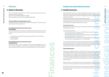There are many banks to choose from in Slovakia, depending on the type of account and services you are looking for. See a list of all the banks operating in Slovakia:  $\overline{17}$  [www.subjekty.nbs.sk/?aa=select\\_categ&bb=4&cc=&qq=](https://subjekty.nbs.sk/?aa=select_categ&bb=4&cc=&qq=)

# **Banks in Slovakia**

### **General conditions for opening a bank account**

An applicant should be above the age of 18, with the exception of student accounts where the age limit is reduced to 15.

# **Documentation required to open a bank account (for individuals)**

Non-residents can open bank accounts in Slovakia so long as you have the necessary documents required by each bank. Basic documents often required by banks include:

- a valid passport or National Identity Card (applicable only for EU residents);
- proof of residence;
- proof of address.

## **Documentation required to open a bank account (for legal entities)**

- Union Health Insurance Company, Inc., (UNION zdravotná poisťovňa, a.s.),  $\overline{7}$  [www.unionzp.sk,](https://www.union.sk/zdravotna-poistovna/) Tel: +421 2 2081 1811
- Health Insurance Company Dôvera, Inc., (DÔVERA zdravotná poisťovňa, a.s.), **7** [www.dovera.sk,](http://www.dovera.sk) Tel.: +421 37 772 22 78
- General Health Insurance Company, Inc., (Všeobecná zdravotná poisťovňa, a.s.), run by the state,  $\sqrt{7}$  [www.vszp.sk](http://www.vszp.sk), Tel: +421 2 2081 7003

Legal entities need to have an extract from the business register and an ID (in the case of companies), or trade license, concession license/application to assign company ID and ID (in the case of self-employment), plus a minimum deposit.

# **Finances**

Each foreigner with residence in Slovakia is obliged to have health insurance; the foreign police can verify this when conducting immigration checks of residence. Health insurance can be through a company in Slovakia or abroad if it covers health care expenses in Slovakia.

Foreigners are obliged to apply to a health insurance company of their own choice within eight days after the start of their participation in public health insurance. If you start employment, this obligation shall be fulfilled by your employer. If your employment is terminated, your employer will also notify the health insurance company. The health insurance company shall issue and deliver an ID card of the policy holder. This card certifies to health care providers that your health care is covered by health insurance. surance; the f<br>sidence. Hea<br>vers health ca<br>byed or self-e<br>deducted fra<br>deducted frace<br>deducted frace<br>deducted frace<br>discursion of the state: class<br>tovňa, a.s.),<br>poistovňa, a.s.),<br>poistovňa, a.s.),<br>poistovňa, a.s.),<br>poistov

In Slovakia there is public and commercial health insurance. Foreigners with permanent residence and foreigners who are employed or self-employed participate in public health insurance. The insurance fee is deducted from their wages or directly paid to the insurance company.

## Public health insurance

# 8 9 **Health care and medical services**

# **Health insurance**

Bratislava Welcome Package Bratislava Welcome Package **medical services**

With public health insurance, the holder is entitled to healthcare and services under the Health Insurance Act.

Public Insurance Providers:

The insurance for public health care of some foreigners is covered by the state: children; disabled and parents on maternity or parental leave; persons granted asylum; foreign students based on international treaty, minors in Slovakia without their legal representative; foreigners in detention or in prison in Slovakia.

## **Public health insurance**

In general, a person is insured in the country in which he/she is employed or self-employed, even if his/her residence or the seat of the employer is in a different country.

European Union Citizens can be insured in one country only. This is either the country where they work, receive a pension or have permanent residency, according to the respective laws.

**Finances**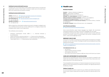Bratislava Welcome Package

Bratislava Welcome Package

### 10 11 **Individual (commercial) health insurance**

Foreigners who cannot participate in public health insurance have to conclude individual health insurance. Policy holder is entitled to health care to the extent specified in the contract with the insurance company.

**UNION** poisťovňa, a.s.,  $\vec{A}$  [www.union.sk/health-insurance-for-foreigners,](http://www.union.sk/health-insurance-for-foreigners) Tel: 0850 111 211, from abroad:+421 2 2081 1811, AXA ASSISTANCE CZ  $\overline{Y}$ <sup>7</sup> [www.axa-assistance.sk/for-foreigners-sk/](http://www.axa-assistance.sk/for-foreigners-sk/) Tel: +421 220 664 228 MAXIMA SLOVENSKO, s.r.o.,  $\nabla_1^T$  [www.pojistovnamaxima.sk/en](http://www.pojistovnamaxima.sk/en) Tel: +421 949 523 254

### **Individual (commercial) Insurance:**

Within 30 days from collecting the residence document, a foreigner is obliged to submit a certificate that he/she has not been suffering from a contagious disease that endangers public health to the foreign police .

The certificate can be issued by:

- Poliklinika cudzokrajných chorôb, ZAMA s. r. o., Americké námestie 3, 811 08 Bratislava,
- Inštitút očkovania a cestovnej medicíny s. r. o., Teslova 33, 821 02 Bratislava,
- Medicínske zariadenie Mlynská Dolina s. r. o., Staré Grunty 56, 841 04 Bratislava,
- Travel Health Clinic s. r. o., Tehelná 3120/26, 831 03 Bratislava

# **Health care**

### **Bratislava Hospitals**

r<sup>7</sup> [www.e-vuc.sk/bsk/zdravotnictvo/ambulantna-pohotovostna-sluzba-v-bsk.htm](http://www.e-vuc.sk/bsk/zdravotnictvo/ambulantna-pohotovostna-sluzba-v-bsk.html?page_id=127099&iframe=1)[l?page\\_id=127099&iframe=1](http://www.e-vuc.sk/bsk/zdravotnictvo/ambulantna-pohotovostna-sluzba-v-bsk.html?page_id=127099&iframe=1)

- 24/7 Service
- English speaking operators available
- All emergency calls are free
- Don't worry if your phone is without a SIM card, they can still track your location

Kramáre - Ľ. Dérera, Limbová 5, 02/59541 111 Ružinov - Ružinovská 6, 02/4823411 Staré mesto –Mickiewiczova 13, 02/57290 111 Petržalka - Sv. Cyrila a Metoda, Antolská 11, 02/68671 111 National Institute of Children's diseases, Limbová 1, tel. 02/59371111 The National Oncological Institute -Klenová 1, 02/59378 111 The National Institute of Cardiovascular Diseases, Pod krásnou hôrkou 1, Kramáre, tel. 02/59320111

St. Michael's Hospital, Cesta na Červený most 1, tel. 02/59351216

### **List of Doctors and Clinics:**

**7** [www.zzz.sk/zariadenia/slovensko/ordinacia](http://www.zzz.sk/zariadenia/slovensko/ordinacia)

Some doctors/facilities speak foreign languages (e.g. English). We recommend checking the websites of providers to see which languages they can speak. The Bratislava self-governing region handles complaints about private healthcare facilities. If a provider refuses to provide health care services, complaints can be sent to : iveta.chrenkova@region-bsk.sk

### **EMERGENCY HEALTH CARE**

In the event of a sudden worsening of your health outside of working hours of regular providers, you can visit a center of emergency health care providing services during weekends and holidays:

### FOR EMERGENCIES DIAL 112

## **COMPLAINT, MISTREATMENT OR LAW VIOLATIONS**

Patients who are dissatisfied with medical treatment can submit a complaint to the Health Care Surveillance Authority. Forms can be found at http://www.udzs-sk.sk/ web/en/welcome-to-the-autority-web-site.

Those dissatisfied with the behavior of medical employees should report to the management of the medical facility, the respective chambers, the regional authorities or the Ministry of Health.

### **Children's health care**

It is recommended to look for a doctor for your children even before they are born. Doctors start caring for babies 48 hours after they leave the maternity ward of hospitals.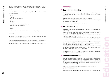

12 13 During a child's first year, they undergo 9 check-ups and the 10th after they are 1.5 years old. Children should then visit the pediatrician once every two years until they are 18.

Vaccination in Slovakia is mandatory. Currently, children have to be vaccinated against 10 diseases:

- Diphtheria
- Tetanus
- pertussis/ whooping cough
- polio
- hepatitis B
- measles
- invasive haemophilus influenza infections
- invasive pneumococcal diseases
- mumps
- rubella

Parents who refuse to vaccinate their children can be fined up to  $\epsilon_{331}$ .

### **Dental care**

Dental care can be reimbursed by the public health insurance only if the treatments have been used with standard materials.

If you are interested in dental health care using above-standard materials, you will pay the price difference between standard and above-standard materials. Every publicly insured person has the right to a preventive dental check once a year.

As of 2021, pre-primary education is compulsory for 5 year-old-children. 6 year-oldchildren are obliged to attend primary schools, preferably according to the place of residence.

Kindergardens in Bratislava are established by the city boroughs. To find the list of kindergardens in your city borough, please check the City borough's website (page 4 of this Brochure).

You can apply for your child during the whole school year.

# **Primary education**

There is a 10 year compulsory school attendance for children from the ages of 6 to 16 in Slovakia.

You can find many primary schools established by the city borough, primary schools established by churches and primary schools in Bratislava. To find the list of primary schools in your City Borough, please check the city borough's website (page 4 of this Brochure). Enrollment into primary schools takes place between 1st and 30th April. The city boroughs in Bratislava announce places and dates of enrollments on their websites.

However, if your child comes to Slovakia during the school year, you must register them upon their arrival. You have to enroll your child to a primary school if he/she will reach the age of 6 by the 31st August of the ongoing year. You are obliged to bring your ID, your child's birth certificate, disability certificate (if your child is disabled) to the enrollment process. The application form can be found on each school's website or directly at the enrollment.

At the enrollment procedure, children are evaluated by teachers for basic knowledge, ability to concentrate, and problem solve.

# **Secondary education**

Secondary and vocational schools belong to the competency of the Bratislava regional government. Students can choose between general secondary education at gymnasiums- academic oriented schools - and specialized secondary education at schools with enhanced coverage of certain subjects and trades; some finish with a high school diploma and some do not

Please, find information on secondary education in the Bratislava region at <https://bratislavskykraj.sk/>

The deadline for submitting applications to secondary schools is February or , de-

# **Education**

# **Pre-school education**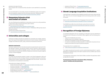Bratislava Welcome Package Bratislava Welcome Package

For more information on secondary schools in the Bratislava region and on applications and deadlines, please check the information Brochure "Stredná pre mňa" :  $\overline{A}$  [www.strednapremna.sk/wp-content/uploads/2019/06/A5\\_SPM.pdf](http://www.strednapremna.sk/wp-content/uploads/2019/06/A5_SPM.pdf)

14 15 • Academy of Police Force: [www.akademiapz.sk/en](http://www.akademiapz.sk/en ) pending on the type of school. Only a student with completed primary education can be admitted to a secondary school.

- Find the list of centers of leisure here:
- $\mathbb{Z}$  [www.bratislava.sk/sk/filter/centra-volneho-casu](http://www.bratislava.sk/sk/filter/centra-volneho-casu)

# **Elementary Schools of Art and Centers of Leisure**

The city of Bratislava has established 12 elementary schools of art, with possibilities to learn how to play a musical instrument, paint or dance. Find the list of schools of art here:

Www.bratislava.sk/sk/filter/zakladne-umelecke-skoly

Apart from that, there are 5 Centers of Leisure in Bratislava, offering many leisure and sport activities.

# **Universities and colleges**

Institutions of higher education are divided into universities and colleges, depending on the nature of the program and the amount of work involved. Universities and colleges are divided into public, state, private and international institutions.

### **Admission requirements**

Check out the link below to find a list of language schools and centres: アイ [www.welcometobratislava.eu/language-schools-in-bratislava/](https://bratislava.sk/sk/nove-mesto?page_id=272197)

Admission requirements for international students are generally the same as for Slovak nationals. However, international students may be required to attend preparatory courses, such as Slovak language courses, if they fail to meet the admission requirements for the particular institution. Respective universities may also organise courses of Slovak language.

### **Tuition fees**

For Slovak and international students, studies in the Slovak language at state and public universities are free of charge. However, according to the law on universities, students have to pay for studies held in languages other than Slovak. The price lists are published on the websites of universities.

### Universities and colleges in Bratislava:

- Slovak Technical University:  $\mathbb{Z}$  [www.stuba.sk/english.html?page\\_id=132](http://www.stuba.sk/english.html?page_id=132)
- Economic University:  $\mathbb{Z}_{\text{www.eubaื.}sk/en}$
- Comenius University:  $\mathbb{Z}$  [www.uniba.sk/en](http://www.uniba.sk/en/)
- Academy of Performing Arts:  $\mathbb{Z}$  [www.vsmu.sk/en](http://www.vsmu.sk/en/ )
- Slovak Medical University: **4** [www.eng.szu.sk](http://www.eng.szu.sk/)
- College of Health Care and Social Work:  $\mathbb{Z}$  [www.vssvalzbety.sk](http://www.vssvalzbety.sk)
- 
- Paneuropean College: 7 [www.paneurouni.com/en/home/](http://www.paneurouni.com/en/home/)

# **E** Slovak Language Acquisition Institutions

Learning Slovak is essential to fully integrate yourself into the local culture and lifestyle. There are a lot of private language schools and training centers with a variety of courses.

The IOM MIC also offers free online Slovak courses; find out more here: アイ [www.mic.iom.sk/en/social-issues/education/498-learn-slovak-lan](https://www.mic.iom.sk/en/social-issues/education/498-learn-slovak-language-for-free.html)[guage-for-free.html](https://www.mic.iom.sk/en/social-issues/education/498-learn-slovak-language-for-free.html)

# **Recognition of Foreign Diplomas**

A completed application form for recognition of education must be submitted to the Department of Education of the District Office together with the following documents:

- copy of the identification document
- certified copy of the certificate or diploma
- transcript of completed courses and completed exams
- in a case of vocational secondary education, a confirmation issued by the secondary school about the scope of practical education

The application form is available here:

r<sup>7</sup> [www.minedu.sk/academic-recognition-of-diplomas/](https://www.minedu.sk/academic-recognition-of-diplomas/)

The original educational documents must be authenticated (apostilled or superlegalised) by a competent body of the state in question and its certified copy must be translated into Slovak.

The Department of Education of the District Office considers the application within 30 days after its receipt.

# **The Department of Education of the District Office of Bratislava address: Tomášikova 46, 823 05 Bratislava**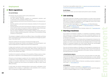# **Work regulations**

### **For non-EU Citizens**

An employer may only employ a third-country national who:

- is a holder of the EU Blue Card,
- has been granted temporary residence for employment purposes upon a confirmation of the possibility of filling a vacancy,
- has been granted a work permit and a temporary residence for employment purposes,
- has been granted a work permit and a temporary residence for the purpose of family reunion,
- has been granted a work permit and temporary residence of a third-country national, who has a status of a long-term resident in a Member State of the European Union, unless stipulated otherwise by a special regulation, or
- does not require confirmation of the possibility of filling a vacancy that corresponds to a highly qualified employment, confirmation of the possibility of filling a vacancy or a work permit.

The employer is obliged to notify the local Office of Labour, Social Affairs and Family within 7 working days from the start/end of the employment of a foreigner by submitting an "Information Card".

In some cases, you may be employed without a work permit, confirmation on the possibility to fill in a vacancy, or confirmation on the possibility to fill in a vacancy which corresponds to a highly qualified employment.

Temporary residence for the purpose of employment (single permit) A third-country national who intends to be employed in the Slovak Republic must submit an application for a single permit at the Police Department.

 $16$  17 To see if your case qualifies, please check:  $\frac{17}{17}$  www.mic.iom.sk/en/work/who-does-  $17$ [not-need-a-work-permit-or-confirmation.html](https://www.mic.iom.sk/en/work/who-does-not-need-a-work-permit-or-confirmation.html)

> If you want to find a job in Slovakia, one way of doing so is to have a look at internet pages like profesia.sk, eures.sk, careerjet.sk, topjobs.sk, trhprace.sk, and ponuky.sk. If you wish to increase your qualification or even change the course of your career, you can enroll yourself in a retraining course. Find out more about Jaspis Agency:  $\overline{A}$  www.[jaspis.sk,](https://jaspis.sk/) Ján Škoda Retraining Center:  $\overline{Y}$  [www.e-maser.sk](http://www.e-maser.sk/), Salón Médea:  $\overline{Y}$  [www.salonmedea.sk,](http://www.salonmedea.sk) or Education Agency AMOS-K: Mww.amosk.sk. To find if you are being paid fairly by your employer, please visit  $\lceil \frac{7}{2} \rceil$  [www.platy.sk/en](http://www.platy.sk/en)

A single permit authorizes a third-country national to reside in the territory of the Slovak Republic for the purpose of employment. When issuing a single permit, the Foreign Police Department requests a confirmation of the possibility of filling a vacancy from the relevant Labor Office.

Conditions for issuing the confirmation of the possibility of filling a vacancy containing consent or opposition to it are defined by the Act on Employment Services.

If the job is on the shortage occupations list, the competent Labour Office will issue a confirmation of the possibility of filling a vacancy without taking into account the situation on the labour market and it is not necessary to report the vacancy. The shortage occupations list can be found on the website the Office of Labour, Social Affairs and Family.

> Contact them for business counselling:  $\nabla$  [www.sbagency.sk](http://www.sbagency.sk) To register your company on the Commercial Register, you must submit the application at the competent Register Court or Trade Licensing Office.

### **For EU Citizens**

If you are an EU Citizen, you do not need a work permit to work in Slovakia.

# **Job-seeking**

# **Starting a business**

If you intend to do business in Slovakia, it is essential to be granted a residence which allows you to conduct business. If you hold a temporary residence for the purpose of studies or a temporary residence for the purpose of family reunion, you are allowed to do business.

You are allowed to do business in Slovakia without being granted a temporary residence for the purpose of business as well in the case that you acquired a temporary residence as a third country national with acknowledged status of a Slovak Living Abroad or a temporary residence as a third country national with acknowledged long-term residence in another European Union Member State.

If you do not hold any residence in Slovakia, you should apply for a temporary residence for the purpose of business after obtaining a trade License.Find the right support you need from the following organizations that support startups, entrepreneurs and small businesses in Slovakia:

### **1. Slovak Business Agency**

micro-loans:  $\nabla$  [www.sbagency.sk](http://www.sbagency.sk)

The Slovak Business Agency is one of the most crucial and oldest non-profit organizations for the support of small and medium-sized enterprises on a local, national or regional level. It aims to increase the survival and employment rate of enterprises and lift the level of competition. Contact them for services related to financial counselling, business incubators &

### **2. Crowdberry**

# **Employment**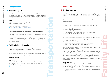# **Public transport**

The Bratislava public integrated transportation system is called IDS BK, and consists of tram lines, trolleybus lines and bus lines, which is divided into two zones. The first zone lines are the usual choice for tourists, since they cover downtown and most of the city. The second zone lines consist of the Bratislava surroundings.

Find more information about fares & tickets: [www.imhd.sk/ba/doc/en/17874/Ticket-Price-List](http://www.imhd.sk/ba/doc/en/17874/Ticket-Price-List)

## **Tickets**

All types of tickets are valid for a single journey of the selected time duration if you travel in Bratislava surrounding areas.

# Ticket inspectors carry out random checks around the clock. Make sure you:

1. Learn how to purchase tickets.

2. Mark your ticket in the marking machine IMMEDIATELY upon entry into the bus, tram or trolleybus.

3. Purchase the 60 minute transfer ticket for any journey with scheduled duration over 15 minutes (the scheduled duration is posted at the bus and tram stop for each line); only purchase the 15 minute ticket if you are absolutely positive that the jour ney is under 15 minutes.

# **Parking Policy in Bratislava**

In Bratislava, there are zones with a restricted parking policy. You can find more information on parking regulations on the websites of each city borough (see page 4 of this Brochure).

The city borough should provide you with information on regulated parking zones, parking fares, registration of parking "residency card" etc.

# **OTHER INFORMATION**

## Regional travel

Travel opportunities within Slovakia and the region of Bratislava are endless. Information on routes and timetables of regional coach and train connections can be found at:

r<sub>7</sub> <https://cp.hnonline.sk/vlakbusmhd/spojenie/>

# **F** Getting married

Marriage between a Slovak citizen and a foreigner, or between two foreigners, is pos sible in Slovakia, so long as all necessary documents are provided. Foreigners who enter into marriage with Slovak citizens can be granted permanent residence for the purpose of family reunification.

# 18 19 **Transportation Family Life**

Documents required from foreigners, whether you are marrying a Slovak citizen or a foreigner, includes:

• Proof of legal capacity to enter into a marriage - issued by the foreigner's home

- Birth certificate
- country
- Proof of legal stay in Slovakia
- Proof of citizenship (i.e. a valid passport)
- Proof of marital status
- Death certificate of a deceased spouse if the foreigner is widowed
- Divorce decree if the foreigner is divorced
- Proof of identity (i.e. ID or passport)
- 1. Documents submitted by a foreigner must be translated by an official translator; must include a round seal.
- 2. An interpreter must be hired to interpret the whole marriage ceremony into the foreigner´s language if one/both spouses do not speak Slovak.
- 3. Proof of marital status must not be older than 6 months.

the translated documents must then be signed by the certified translator and

You may choose between a civil marriage ceremony at the Registry Office or a reli gious wedding ceremony in a church. For a civil marriage, the wedding vows are given to each other in front of the mayor or a councilor in the presence of a registry officer. It should take place at the respon sible Registry Office, according to the place of permanent residence of one of the spouses, unless otherwise approved by the locally competent Registry Office. For a religious wedding, wedding vows must be read by the couple to each other in the presence of a priest of the registered church. The religious body will then send the marriage certificate to the locally competent Registry Office within 3 days follow ing the wedding.

# **Administrative fees**

• Marriage where neither of the spouses has permanent residence in the Slovak

- Marriage between a Slovak citizens and a foreigner: 66 EUR
- Marriage between foreign nationals: 165.50 EUR
- Republic: 199 EUR
- Permission to conclude a marriage at a place other than a competent registry office: 33 EUR

**Family Life**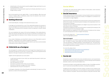- 20 Authentication of the documents issued by eligible foreign authorities for use in **Conserversity of the set of the set of the set of the set of the set of the set of the set of the set of the set of the set of the set** the Slovak Republic: 20 EUR
	- Authentication of the documents issued by the Slovak authorities for use in a foreign country: 20 EUR

920 • Authentication of the documents issued by eligible foreign authorities for use in<br>
the Slovak Republic: 20 EUR<br>
• Authentication of the documents issued by the Slovak authorities for use in a<br>
foreign country: 20 E Each city borough has its own registry office – to see the address, office hours and contact of registry offices in Bratislava, please check the website of your city bor ough (page 4 of this Brochure).

# **Getting divorced**

In the Slovak Republic, marriage can be dissolved only by a court.

A marriage can be dissolved by a court if the relationship between the spouses is seriously damaged and has permanently broken down, so that the marriage can no longer serve its purpose and the spouses cannot be expected to resume marital cohabitation.

- a valid travel document of your child/ your valid travel document in which your child is recorded
- the newborn's birth certificate
- $\cdot$  two color photos  $(3 \times 3.5 \text{ cm})$
- document on provision of the child's accommodation
- document on financial coverage of the child's residence
- administrative fee of  $\epsilon$ 4.50 for issuing an ID

The court establishes the causes of the serious breakdown of the relationship be tween the spouses and takes them into account in its decision on the divorce. The court always takes the interests of minor children into account in its divorce deci sion.

If you reside in Bratislava, you should file for divorce in one of five district courts in Bratislava – depending on your residence address in Bratislava. If your minor children have residence in another district, your divorce will be handled in the district of your children's residence.

# **Child birth as a foreigner**

You must apply for a residence permit from the Foreign Police Department for your child within 90 days from his/her birth. The type of residence permit granted would depend on the type of residence permit that you have.

For more info, please visit:  $\nabla$  [www.socpoist.sk/?lang=en](http://www.socpoist.sk/?lang=en) email: info.english@socpoist.sk

Together with the application you must submit:

A child gains citizenship of the Slovak Republic automatically if at least one of the parents is a citizen of the Slovak Republic.

In Slovakia, the social security system consists of three pillars: social insurance, state social support and social aid.

# **Social insurance**

Social insurance serves to protect people in various situations (such as motherhood or the temporary inability to work due to illness). The obligation to contribute to so cial insurance is a legal obligation.

Only those who have contributed to the social insurance scheme are entitled to ben efit from the scheme. The Social Insurance Company is the responsible one for so cial insurance in Slovakia.

Employed and self-employed foreigners are obliged to pay social insurance in the same way as citizens of Slovakia.

Employees are registered under the social insurance company by the employer, who pays the insurance from the employee's wage. While employees are registered in the Social Insurance Company by their employ ers, self-employed persons have to register themselves.

### **State social support**

State social support is a scheme of social aid supporting mainly families with chil dren. The Office of Labour, Social Affairs and Family provides parental allowance, child care allowance, childbirth allowance, funeral allowance etc. The Social Insur ance Company provides a Christmas allowance for retired persons and the Tax Of fice provides a tax bonus for parents.

For more info, please check:

- r<sup>7</sup> [www.employment.gov.sk/en/family-social-assistance/](http://www.employment.gov.sk/en/family-social-assistance/)
- $\overline{7}$  [www.socpoist.sk/old-age-pension-/51389s](http://www.socpoist.sk/old-age-pension-/51389s)
- $\nabla$  [www.financnasprava.sk/en/homepage](http://www.financnasprava.sk/en/homepage)

# **Social aid**

Social aid is a scheme of help for the most vulnerable persons, such as pensioners, families with children, persons with disabilities or persons facing crisis life situations (domestic violence, loss of accommodation etc.).

Social aid is provided in cash benefits (by the Offices of Labor, Social Affairs and Fam ily) or in social services (by different providers, including municipalities).

Foreigners are also entitled to social aid, however, be aware of your residence obli gations (financial self-sufficiency or accommodation) to avoid possible cancellation of your residence in Slovakia. There are three systems of help with social aid: mate -

# **Social Affairs**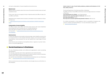# **Material need**

Material need is a situation where the income of household members does not reach subsistence level.

 $\overline{17}$  [www.employment.gov.sk/en/family-social-assistance/material-need-assis](https://www.employment.gov.sk/en/family-social-assistance/material-need-assistance/)[tance](https://www.employment.gov.sk/en/family-social-assistance/material-need-assistance/)

If this is your case, you can apply for help in material need at the Office of Labor, Social Affairs and Family.

Applying for aid in material need can lead to cancellation of your residence in Slovakia. More info:

### **Compensation of severe disability**

The Office of Labor, Social Affairs and Family helps persons with severe disabilities by providing them with monetary and non-monetary allowances. Only a few types of residence are able to benefit from this help. For more info:  $\sqrt{7}$  [www.employment.gov.sk/en/family-social-assistance/se](https://www.employment.gov.sk/en/family-social-assistance/severe-disability/)[vere-disability/](https://www.employment.gov.sk/en/family-social-assistance/severe-disability/)

You can find more information on social services provided by the city of Bratislava here:  $\nabla$  [www.bratislava.sk/sk/socialne-sluzby-a-pomoc](http://www.bratislava.sk/sk/socialne-sluzby-a-pomoc)

### **Social services**

In case of an adverse social situation (retirement age, severe disability, placing child in a nursery home) or a crisis situation (domestic violence, loss of accommodation, drug addiction, social exclusion etc.) you can benefit from a wide range of social services.

For children and parents in crisis situations, there is a possibility of staying in the center for children and families REPULS. For more information, please visit  $\nabla$ <sup>1</sup> [www.krizovecentrumba.sk.](http://www.krizovecentrumba.sk)

# 22 23 Useful contact in case of some family problems, problems with behaviour of children, family crisis etc.: Bratislava Welcome Package Bratislava Welcome Package The Social Department of the Municipal office in Bratislava The Office of Labour, Social Affairs and Family, Social and legal protection of children in Bratislava The Commissioner for children: +421 (0) 950 439 342 National line for reporting neglect of child care: 0800 191 222 Non-stop child helpline: 116 111 Non-stop line for women experiencing domestic violence: 0800 212 212

Social services are provided by municipalities (cities or regions) or by other institutions or non-profit organizations.

# **Social Assistance in Bratislava**

The city of Bratislava provides, via its offices and organizations, social counselling and assistance.

The city also cooperates with charity organizations and medical facilities.

The city of Bratislava provides social services mainly to seniors, victims of domestic violence and to other socially disadvantaged persons.

Various social services are also provided by city borough and you can find them on their websites.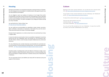Bratislava Welcome Package

Bratislava Welcome Package

You are obliged to report your address of residence to the Foreign Police within 3 working days of the date of entry to the territory of Slovakia (3rd country nationals) or within 10 working days of the date of entry to the territory of Slovakia (EU citizens and their family members). The same rule applies if you change your address during your stay in Slovakia. You can arrange your accommodation in a facility (hostel, hotel, guest house) or you<br>can have private accommodation.<br>You are obliged to report your address of residence to the Foreign Police within<br>3 working days of the da **Houtsing**<br>
Having accommodation is an essential prerequisite to having residence<br>
You can arrange your accommodation in a facility (hostel, hotel, guest F<br>
can have private accommodation.<br>
You are obliged to report your a

# 24 Mousing 25 and 25 and 26 and 26 and 26 and 26 and 26 and 27 and 27 and 28 and 28 and 28 and 28

Having accommodation is an essential prerequisite to having residence in Slovakia. to having residence You can arrange your accommodation in a facility (hostel, hotel, guest house) or you can have private accommodation.

The city of Bratislava also provides temporary accommodation for vulnerable persons and families in Fortuna Hostel and Kopčany Hostel. You can find the application form here:  $\overline{r_1}$  https://esluzby.bratislava.sk/page/socialne-sluzby-a-pomoc.

You can find the form "Notice of Stay" here: www.minv.sk/?reporting-residence

Homeless people, including people under the influence of alcohol or drugs, in poor health, mentally ill, without documents, without funds, etc. can find necessary help and accommodation in Depaul Slovensko on Ivánska cesta 32 and on Kapitulská 18 in Bratislava. city of Bratislava also provides temporary accommodation for vulnerable per-<br>
s and families in Fortuna Hostel and Kopčany Hostel. You can find the application<br>
here:  $\boxed{7}$  https://esluzby.bratislava.sk/page/socialne-slu

You can certify your accommodation by submitting a rental contract, accommodation certificate or declaration of ownership of real estate (if you are the owner). These documents have to be made in the Slovak language.

Be aware that the signatures on a rental contract have to be authorised by a notary or registry office.

The civic association Domov pre každého also helps with the material security and support of the homeless.

**Housing** 

Bratislava hosts many cultural institutions. You can find the list of cultural events here:  $\overline{r_1}$  <https://www.visitbratislava.com/event-categories/top-events/>

To buy tickets to many cultural institutions not only in Bratislava, visit "Návštevník" portal:  $\nabla$  <https://www.navstevnik.sk/domov?lang=en>

To enjoy online cultural events, go to:  $\overline{r_1}$  [https://navstevnik.online/](https://navstevnik.online/ )

There are two major libraries in the city: University Library: 7 [www.ulib.sk](http://www.ulib.sk) City Library in Bratislava: 7 [www.mestskakniznica.sk](http://www.mestskakniznica.sk)

In case of an adverse social situation, there is a possibility of applying for social help directly from the city of Bratislava, which can provide e.g. crisis housing for families with children, shelters, social housing, housing for disabled persons, retirement homes etc.

You can use free WiFi provided by the city of Bratislava. To enjoy free city WiFi, you need to use the SSID: VisitBratislava on your device.

# **Culture**

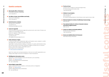- **Municipality Office of Bratislava** Primaciálne námestie 1, Bratislava +421 2/59 356 111
- **The Office of Labor, Social Affairs and Family**  $\mathcal{L}^{\mathcal{L}}$ Vazovova 7/A, Bratislava +421 2 204 437 00

## **Social insurance company**

Záhradnícka 31, Bratislava +421 906 172 111 bratislavamesto@socpoist.sk

### **Centre for legal AID**

In case you deem your fundamental rights and freedoms were violated in conflict with legal order or principles of a democratic and legal state in acting, decision-making, or inactivity of a public administration body, you can file a motion to the Public Defender of Rights in written form or in person. Direct e-mail to file a motion: podnet@vop.gov.sk Grösslingová 35, 811 09 Bratislava **M** [www.vop.gov.sk/langEnglish](http://www.vop.gov.sk/langEnglish)

Centre provides comprehensive legal aid to persons who, due to lack of means, are unable to use paid legal services. Centre for Legal Aid - Office Bratislava Račianska 71, Bratislava +421 650 105 100 info.ba@centrumpravnejpomoci.sk

### **Public defender of rights**

# 26 27 **Useful contacts The line of trust**



Apart from state and municipal assistance, there are non-profit organizations providing a wide range of services to foreigners in need of assistance:

### **IOM Migration information centre**

legal advice, Slovak language classes and education, job counselling Website: 7 [www.iom.sk/en/](http://www.iom.sk/en/) Address: Grösslingová 35, 811 09 Bratislava Tel: +421 2 5263 0023

# **Human Rights League (HRL)**

legal counselling for asylum seekers, community events on integration Website: 7 [www.hrl.sk/en](http://www.hrl.sk/en) Address: Račianska 80, 831 02 Bratislava Tel: +421 918 682 457

nonstop, free of charge on-call psychological help for those facing acute mental crises +421 800 800 566

### **Children's trust helpline**

0907 401 749, 116 111 www.linkadeti.sk for children facing problems in their family or who need to trust or talk

- **National helpline for victims of trafficking in human beings** 0800 800 818
- **Free national hotline for victims of domestic violence and violence against women** 0800 212 212
- **Center for children and families REPULS** Budatínska 59/A, Bratislava +421 2 622 500 35
- **Domov pre každého (Home for Everyone)** Stará Vajnorská 92, Bratislava